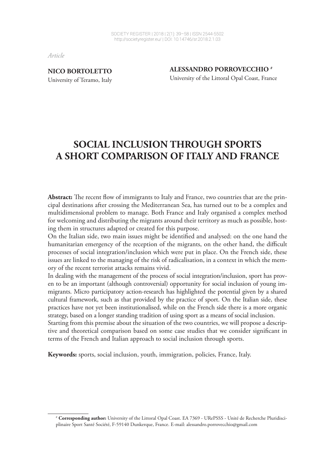*Article*

**NICO BORTOLETTO**  University of Teramo, Italy **ALESSANDRO PORROVECCHIO #** University of the Littoral Opal Coast, France

# **SOCIAL INCLUSION THROUGH SPORTS A SHORT COMPARISON OF ITALY AND FRANCE**

**Abstract:** The recent flow of immigrants to Italy and France, two countries that are the principal destinations after crossing the Mediterranean Sea, has turned out to be a complex and multidimensional problem to manage. Both France and Italy organised a complex method for welcoming and distributing the migrants around their territory as much as possible, hosting them in structures adapted or created for this purpose.

On the Italian side, two main issues might be identified and analysed: on the one hand the humanitarian emergency of the reception of the migrants, on the other hand, the difficult processes of social integration/inclusion which were put in place. On the French side, these issues are linked to the managing of the risk of radicalisation, in a context in which the memory of the recent terrorist attacks remains vivid.

In dealing with the management of the process of social integration/inclusion, sport has proven to be an important (although controversial) opportunity for social inclusion of young immigrants. Micro participatory action-research has highlighted the potential given by a shared cultural framework, such as that provided by the practice of sport. On the Italian side, these practices have not yet been institutionalised, while on the French side there is a more organic strategy, based on a longer standing tradition of using sport as a means of social inclusion.

Starting from this premise about the situation of the two countries, we will propose a descriptive and theoretical comparison based on some case studies that we consider significant in terms of the French and Italian approach to social inclusion through sports.

**Keywords:** sports, social inclusion, youth, immigration, policies, France, Italy.

<sup>1</sup> # **Corresponding author:** University of the Littoral Opal Coast. EA 7369 - URePSSS - Unité de Recherche Pluridisciplinaire Sport Santé Société, F-59140 Dunkerque, France. E-mail: alessandro.porrovecchio@gmail.com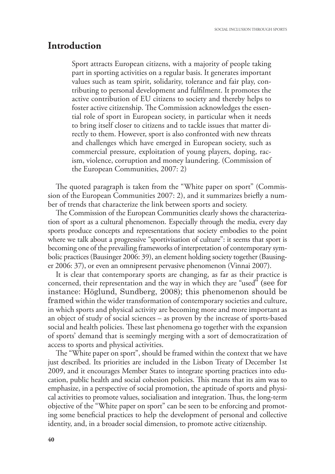### **Introduction**

Sport attracts European citizens, with a majority of people taking part in sporting activities on a regular basis. It generates important values such as team spirit, solidarity, tolerance and fair play, contributing to personal development and fullment. It promotes the active contribution of EU citizens to society and thereby helps to foster active citizenship. The Commission acknowledges the essential role of sport in European society, in particular when it needs to bring itself closer to citizens and to tackle issues that matter directly to them. However, sport is also confronted with new threats and challenges which have emerged in European society, such as commercial pressure, exploitation of young players, doping, racism, violence, corruption and money laundering. (Commission of the European Communities, 2007: 2)

The quoted paragraph is taken from the "White paper on sport" (Commission of the European Communities 2007: 2), and it summarizes briefly a number of trends that characterize the link between sports and society.

The Commission of the European Communities clearly shows the characterization of sport as a cultural phenomenon. Especially through the media, every day sports produce concepts and representations that society embodies to the point where we talk about a progressive "sportivisation of culture": it seems that sport is becoming one of the prevailing frameworks of interpretation of contemporary symbolic practices (Bausinger 2006: 39), an element holding society together (Bausinger 2006: 37), or even an omnipresent pervasive phenomenon (Vinnai 2007).

It is clear that contemporary sports are changing, as far as their practice is concerned, their representation and the way in which they are "used" (see for instance: Höglund, Sundberg, 2008); this phenomenon should be framed within the wider transformation of contemporary societies and culture, in which sports and physical activity are becoming more and more important as an object of study of social sciences – as proven by the increase of sports-based social and health policies. These last phenomena go together with the expansion of sports' demand that is seemingly merging with a sort of democratization of access to sports and physical activities.

The "White paper on sport", should be framed within the context that we have just described. Its priorities are included in the Lisbon Treaty of December 1st 2009, and it encourages Member States to integrate sporting practices into education, public health and social cohesion policies. This means that its aim was to emphasize, in a perspective of social promotion, the aptitude of sports and physical activities to promote values, socialisation and integration. Thus, the long-term objective of the "White paper on sport" can be seen to be enforcing and promoting some beneficial practices to help the development of personal and collective identity, and, in a broader social dimension, to promote active citizenship.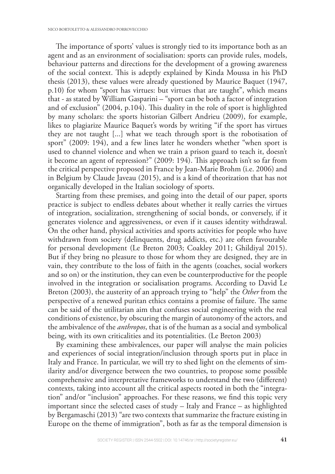The importance of sports' values is strongly tied to its importance both as an agent and as an environment of socialisation: sports can provide rules, models, behaviour patterns and directions for the development of a growing awareness of the social context. This is adeptly explained by Kinda Moussa in his PhD thesis (2013), these values were already questioned by Maurice Baquet (1947, p.10) for whom "sport has virtues: but virtues that are taught", which means that - as stated by William Gasparini – "sport can be both a factor of integration and of exclusion"  $(2004, p.104)$ . This duality in the role of sport is highlighted by many scholars: the sports historian Gilbert Andrieu (2009), for example, likes to plagiarize Maurice Baquet's words by writing "if the sport has virtues they are not taught [...] what we teach through sport is the robotisation of sport" (2009: 194), and a few lines later he wonders whether "when sport is used to channel violence and when we train a prison guard to teach it, doesn't it become an agent of repression?" (2009: 194). This approach isn't so far from the critical perspective proposed in France by Jean-Marie Brohm (i.e. 2006) and in Belgium by Claude Javeau (2015), and is a kind of theorization that has not organically developed in the Italian sociology of sports.

Starting from these premises, and going into the detail of our paper, sports practice is subject to endless debates about whether it really carries the virtues of integration, socialization, strengthening of social bonds, or conversely, if it generates violence and aggressiveness, or even if it causes identity withdrawal. On the other hand, physical activities and sports activities for people who have withdrawn from society (delinquents, drug addicts, etc.) are often favourable for personal development (Le Breton 2003; Coakley 2011; Ghildiyal 2015). But if they bring no pleasure to those for whom they are designed, they are in vain, they contribute to the loss of faith in the agents (coaches, social workers and so on) or the institution, they can even be counterproductive for the people involved in the integration or socialisation programs. According to David Le Breton (2003), the austerity of an approach trying to "help" the *Other* from the perspective of a renewed puritan ethics contains a promise of failure. The same can be said of the utilitarian aim that confuses social engineering with the real conditions of existence, by obscuring the margin of autonomy of the actors, and the ambivalence of the *anthropos*, that is of the human as a social and symbolical being, with its own criticalities and its potentialities. (Le Breton 2003)

By examining these ambivalences, our paper will analyse the main policies and experiences of social integration/inclusion through sports put in place in Italy and France. In particular, we will try to shed light on the elements of similarity and/or divergence between the two countries, to propose some possible comprehensive and interpretative frameworks to understand the two (different) contexts, taking into account all the critical aspects rooted in both the "integration" and/or "inclusion" approaches. For these reasons, we find this topic very important since the selected cases of study – Italy and France – as highlighted by Bergamaschi (2013) "are two contexts that summarize the fracture existing in Europe on the theme of immigration", both as far as the temporal dimension is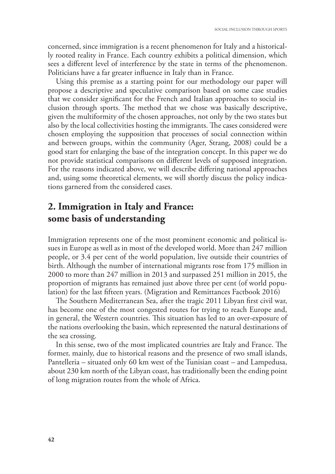concerned, since immigration is a recent phenomenon for Italy and a historically rooted reality in France. Each country exhibits a political dimension, which sees a different level of interference by the state in terms of the phenomenon. Politicians have a far greater influence in Italy than in France.

Using this premise as a starting point for our methodology our paper will propose a descriptive and speculative comparison based on some case studies that we consider significant for the French and Italian approaches to social inclusion through sports. The method that we chose was basically descriptive, given the multiformity of the chosen approaches, not only by the two states but also by the local collectivities hosting the immigrants. The cases considered were chosen employing the supposition that processes of social connection within and between groups, within the community (Ager, Strang, 2008) could be a good start for enlarging the base of the integration concept. In this paper we do not provide statistical comparisons on different levels of supposed integration. For the reasons indicated above, we will describe differing national approaches and, using some theoretical elements, we will shortly discuss the policy indications garnered from the considered cases.

# **2. Immigration in Italy and France: some basis of understanding**

Immigration represents one of the most prominent economic and political issues in Europe as well as in most of the developed world. More than 247 million people, or 3.4 per cent of the world population, live outside their countries of birth. Although the number of international migrants rose from 175 million in 2000 to more than 247 million in 2013 and surpassed 251 million in 2015, the proportion of migrants has remained just above three per cent (of world population) for the last fifteen years. (Migration and Remittances Factbook 2016)

The Southern Mediterranean Sea, after the tragic 2011 Libyan first civil war, has become one of the most congested routes for trying to reach Europe and, in general, the Western countries. This situation has led to an over-exposure of the nations overlooking the basin, which represented the natural destinations of the sea crossing.

In this sense, two of the most implicated countries are Italy and France. The former, mainly, due to historical reasons and the presence of two small islands, Pantelleria – situated only 60 km west of the Tunisian coast – and Lampedusa, about 230 km north of the Libyan coast, has traditionally been the ending point of long migration routes from the whole of Africa.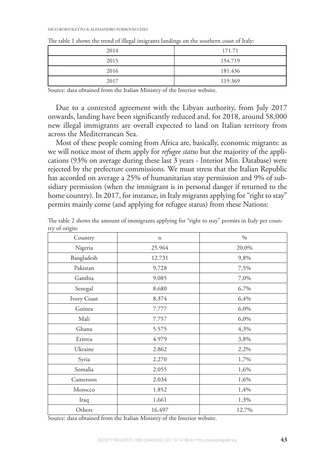| 2014 | 171.71  |
|------|---------|
| 2015 | 154.719 |
| 2016 | 181.436 |
| 2017 | 119.369 |

The table 1 shows the trend of illegal imigrants landings on the southern coast of Italy:

Source: data obtained from the Italian Ministry of the Interior website.

Due to a contested agreement with the Libyan authority, from July 2017 onwards, landing have been significantly reduced and, for 2018, around 58,000 new illegal immigrants are overall expected to land on Italian territory from across the Mediterranean Sea.

Most of these people coming from Africa are, basically, economic migrants: as we will notice most of them apply for *refugee status* but the majority of the applications (93% on average during these last 3 years - Interior Min. Database) were rejected by the prefecture commissions. We must stress that the Italian Republic has accorded on average a 25% of humanitarian stay permission and 9% of subsidiary permission (when the immigrant is in personal danger if returned to the home country). In 2017, for instance, in Italy migrants applying for "right to stay" permits mainly come (and applying for refugee status) from these Nations:

| Country     | $\mathbf n$ | $0/0$ |
|-------------|-------------|-------|
| Nigeria     | 25.964      | 20,0% |
| Bangladesh  | 12.731      | 9,8%  |
| Pakistan    | 9.728       | 7,5%  |
| Gambia      | 9.085       | 7,0%  |
| Senegal     | 8.680       | 6,7%  |
| Ivory Coast | 8.374       | 6,4%  |
| Guinea      | 7.777       | 6,0%  |
| Mali        | 7.757       | 6,0%  |
| Ghana       | 5.575       | 4,3%  |
| Eritrea     | 4.979       | 3,8%  |
| Ukraine     | 2.862       | 2,2%  |
| Syria       | 2.270       | 1,7%  |
| Somalia     | 2.055       | 1,6%  |
| Cameroon    | 2.034       | 1,6%  |
| Morocco     | 1.852       | 1,4%  |
| Iraq        | 1.661       | 1,3%  |
| Others      | 16.497      | 12.7% |

The table 2 shows the amount of immigrants applying for "right to stay" permits in Italy per country of origin:

Source: data obtained from the Italian Ministry of the Interior website.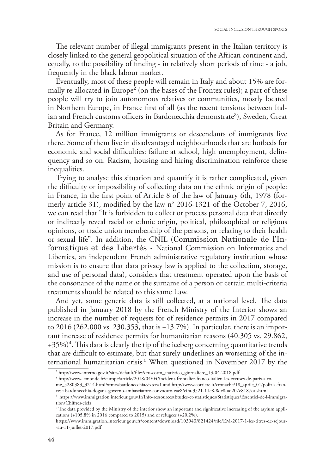The relevant number of illegal immigrants present in the Italian territory is closely linked to the general geopolitical situation of the African continent and, equally, to the possibility of finding - in relatively short periods of time - a job, frequently in the black labour market.

Eventually, most of these people will remain in Italy and about 15% are formally re-allocated in Europe<sup>2</sup> (on the bases of the Frontex rules); a part of these people will try to join autonomous relatives or communities, mostly located in Northern Europe, in France first of all (as the recent tensions between Italian and French customs officers in Bardonecchia demonstrate<sup>3</sup>), Sweden, Great Britain and Germany.

As for France, 12 million immigrants or descendants of immigrants live there. Some of them live in disadvantaged neighbourhoods that are hotbeds for economic and social difficulties: failure at school, high unemployment, delinquency and so on. Racism, housing and hiring discrimination reinforce these inequalities.

Trying to analyse this situation and quantify it is rather complicated, given the difficulty or impossibility of collecting data on the ethnic origin of people: in France, in the first point of Article 8 of the law of January 6th, 1978 (formerly article 31), modified by the law  $n^{\circ}$  2016-1321 of the October 7, 2016, we can read that "It is forbidden to collect or process personal data that directly or indirectly reveal racial or ethnic origin, political, philosophical or religious opinions, or trade union membership of the persons, or relating to their health or sexual life". In addition, the CNIL (Commission Nationale de l'Informatique et des Libertés - National Commission on Informatics and Liberties, an independent French administrative regulatory institution whose mission is to ensure that data privacy law is applied to the collection, storage, and use of personal data), considers that treatment operated upon the basis of the consonance of the name or the surname of a person or certain multi-criteria treatments should be related to this same Law.

And yet, some generic data is still collected, at a national level. The data published in January 2018 by the French Ministry of the Interior shows an increase in the number of requests for of residence permits in 2017 compared to 2016 (262.000 vs. 230.353, that is +13.7%). In particular, there is an important increase of residence permits for humanitarian reasons (40.305 vs. 29.862, +35%)<sup>4</sup>. This data is clearly the tip of the iceberg concerning quantitative trends that are difficult to estimate, but that surely underlines an worsening of the international humanitarian crisis.<sup>5</sup> When questioned in November 2017 by the

<sup>&</sup>lt;sup>2</sup> http://www.interno.gov.it/sites/default/files/cruscotto\_statistico\_giornaliero\_13-04-2018.pdf

<sup>3</sup> http://www.lemonde.fr/europe/article/2018/04/04/incident-frontalier-franco-italien-les-excuses-de-paris-a-rome\_5280383\_3214.html?xtmc=bardonecchia&xtcr=1 and http://www.corriere.it/cronache/18\_aprile\_01/polizia-francese-bardonecchia-dogana-governo-ambasciatore-convocato-eae864fa-3521-11e8-8de8-ad207e8187ca.shtml

<sup>4</sup> https://www.immigration.interieur.gouv.fr/Info-ressources/Etudes-et-statistiques/Statistiques/Essentiel-de-l-immigration/Chiffres-clefs

 $^5$  The data provided by the Ministry of the interior show an important and significative increasing of the asylum applications (+105.8% in 2016 compared to 2015) and of refugees (+20.2%).

https://www.immigration.interieur.gouv.fr/content/download/103943/821424/file/EM-2017-1-les-titres-de-sejour--au-11-juillet-2017.pdf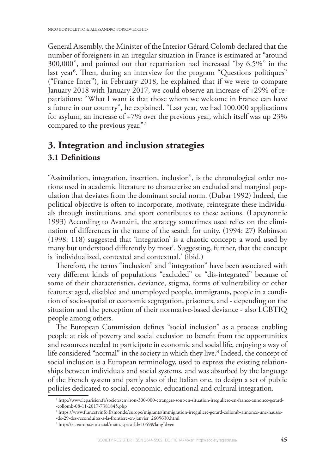General Assembly, the Minister of the Interior Gérard Colomb declared that the number of foreigners in an irregular situation in France is estimated at "around 300,000", and pointed out that repatriation had increased "by 6.5%" in the last year<sup>6</sup>. Then, during an interview for the program "Questions politiques" ("France Inter"), in February 2018, he explained that if we were to compare January 2018 with January 2017, we could observe an increase of +29% of repatriations: "What I want is that those whom we welcome in France can have a future in our country", he explained. "Last year, we had 100.000 applications for asylum, an increase of  $+7\%$  over the previous year, which itself was up 23% compared to the previous year."<sup>7</sup>

## **3. Integration and inclusion strategies 3.1 Definitions**

"Assimilation, integration, insertion, inclusion", is the chronological order notions used in academic literature to characterize an excluded and marginal population that deviates from the dominant social norm. (Dubar 1992) Indeed, the political objective is often to incorporate, motivate, reintegrate these individuals through institutions, and sport contributes to these actions. (Lapeyronnie 1993) According to Avanzini, the strategy sometimes used relies on the elimination of differences in the name of the search for unity. (1994: 27) Robinson (1998: 118) suggested that 'integration' is a chaotic concept: a word used by many but understood differently by most'. Suggesting, further, that the concept is 'individualized, contested and contextual.' (ibid.)

Therefore, the terms "inclusion" and "integration" have been associated with very different kinds of populations "excluded" or "dis-integrated" because of some of their characteristics, deviance, stigma, forms of vulnerability or other features: aged, disabled and unemployed people, immigrants, people in a condition of socio-spatial or economic segregation, prisoners, and - depending on the situation and the perception of their normative-based deviance - also LGBTIQ people among others.

The European Commission defines "social inclusion" as a process enabling people at risk of poverty and social exclusion to benefit from the opportunities and resources needed to participate in economic and social life, enjoying a way of life considered "normal" in the society in which they live.<sup>8</sup> Indeed, the concept of social inclusion is a European terminology, used to express the existing relationships between individuals and social systems, and was absorbed by the language of the French system and partly also of the Italian one, to design a set of public policies dedicated to social, economic, educational and cultural integration.

<sup>6</sup> http://www.leparisien.fr/societe/environ-300-000-etrangers-sont-en-situation-irreguliere-en-france-annonce-gerard- -collomb-08-11-2017-7381845.php

<sup>7</sup> https://www.francetvinfo.fr/monde/europe/migrants/immigration-irreguliere-gerard-collomb-annonce-une-hausse-

<sup>-</sup>de-29-des-reconduites-a-la-frontiere-en-janvier\_2605630.html

<sup>8</sup> http://ec.europa.eu/social/main.jsp?catId=1059&langId=en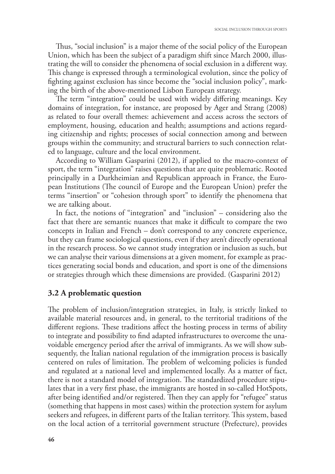Thus, "social inclusion" is a major theme of the social policy of the European Union, which has been the subject of a paradigm shift since March 2000, illustrating the will to consider the phenomena of social exclusion in a different way. This change is expressed through a terminological evolution, since the policy of fighting against exclusion has since become the "social inclusion policy", marking the birth of the above-mentioned Lisbon European strategy.

The term "integration" could be used with widely differing meanings. Key domains of integration, for instance, are proposed by Ager and Strang (2008) as related to four overall themes: achievement and access across the sectors of employment, housing, education and health; assumptions and actions regarding citizenship and rights; processes of social connection among and between groups within the community; and structural barriers to such connection related to language, culture and the local environment.

According to William Gasparini (2012), if applied to the macro-context of sport, the term "integration" raises questions that are quite problematic. Rooted principally in a Durkheimian and Republican approach in France, the European Institutions (The council of Europe and the European Union) prefer the terms "insertion" or "cohesion through sport" to identify the phenomena that we are talking about.

In fact, the notions of "integration" and "inclusion" – considering also the fact that there are semantic nuances that make it difficult to compare the two concepts in Italian and French – don't correspond to any concrete experience, but they can frame sociological questions, even if they aren't directly operational in the research process. So we cannot study integration or inclusion as such, but we can analyse their various dimensions at a given moment, for example as practices generating social bonds and education, and sport is one of the dimensions or strategies through which these dimensions are provided. (Gasparini 2012)

#### **3.2 A problematic question**

The problem of inclusion/integration strategies, in Italy, is strictly linked to available material resources and, in general, to the territorial traditions of the different regions. These traditions affect the hosting process in terms of ability to integrate and possibility to find adapted infrastructures to overcome the unavoidable emergency period after the arrival of immigrants. As we will show subsequently, the Italian national regulation of the immigration process is basically centered on rules of limitation. The problem of welcoming policies is funded and regulated at a national level and implemented locally. As a matter of fact, there is not a standard model of integration. The standardized procedure stipulates that in a very first phase, the immigrants are hosted in so-called HotSpots, after being identified and/or registered. Then they can apply for "refugee" status (something that happens in most cases) within the protection system for asylum seekers and refugees, in different parts of the Italian territory. This system, based on the local action of a territorial government structure (Prefecture), provides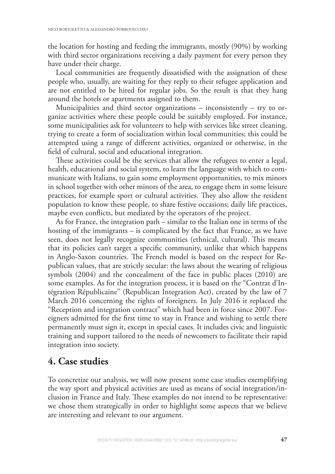the location for hosting and feeding the immigrants, mostly (90%) by working with third sector organizations receiving a daily payment for every person they have under their charge.

Local communities are frequently dissatisfied with the assignation of these people who, usually, are waiting for they reply to their refugee application and are not entitled to be hired for regular jobs. So the result is that they hang around the hotels or apartments assigned to them.

Municipalities and third sector organizations – inconsistently – try to organize activities where these people could be suitably employed. For instance, some municipalities ask for volunteers to help with services like street cleaning, trying to create a form of socialization within local communities; this could be attempted using a range of different activities, organized or otherwise, in the field of cultural, social and educational integration.

These activities could be the services that allow the refugees to enter a legal, health, educational and social system, to learn the language with which to communicate with Italians, to gain some employment opportunities, to mix minors in school together with other minors of the area, to engage them in some leisure practices, for example sport or cultural activities. They also allow the resident population to know these people, to share festive occasions; daily life practices, maybe even conflicts, but mediated by the operators of the project.

As for France, the integration path – similar to the Italian one in terms of the hosting of the immigrants – is complicated by the fact that France, as we have seen, does not legally recognize communities (ethnical, cultural). This means that its policies can't target a specific community, unlike that which happens in Anglo-Saxon countries. The French model is based on the respect for Republican values, that are strictly secular: the laws about the wearing of religious symbols (2004) and the concealment of the face in public places (2010) are some examples. As for the integration process, it is based on the "Contrat d'Intégration Républicaine" (Republican Integration Act), created by the law of 7 March 2016 concerning the rights of foreigners. In July 2016 it replaced the "Reception and integration contract" which had been in force since 2007. Foreigners admitted for the first time to stay in France and wishing to settle there permanently must sign it, except in special cases. It includes civic and linguistic training and support tailored to the needs of newcomers to facilitate their rapid integration into society.

# **4. Case studies**

To concretize our analysis, we will now present some case studies exemplifying the way sport and physical activities are used as means of social integration/inclusion in France and Italy. These examples do not intend to be representative: we chose them strategically in order to highlight some aspects that we believe are interesting and relevant to our argument.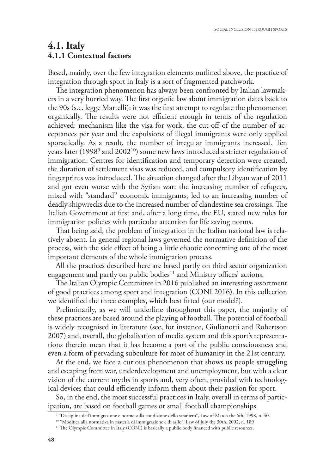### **4.1. Italy 4.1.1 Contextual factors**

Based, mainly, over the few integration elements outlined above, the practice of integration through sport in Italy is a sort of fragmented patchwork.

The integration phenomenon has always been confronted by Italian lawmakers in a very hurried way. The first organic law about immigration dates back to the 90s (s.c. legge Martelli): it was the first attempt to regulate the phenomenon organically. The results were not efficient enough in terms of the regulation achieved: mechanism like the visa for work, the cut-off of the number of acceptances per year and the expulsions of illegal immigrants were only applied sporadically. As a result, the number of irregular immigrants increased. Ten years later (1998 $^9$  and 2002 $^{10}$ ) some new laws introduced a stricter regulation of immigration: Centres for identification and temporary detection were created, the duration of settlement visas was reduced, and compulsory identification by fingerprints was introduced. The situation changed after the Libyan war of  $2011$ and got even worse with the Syrian war: the increasing number of refugees, mixed with "standard" economic immigrants, led to an increasing number of deadly shipwrecks due to the increased number of clandestine sea crossings. The Italian Government at first and, after a long time, the EU, stated new rules for immigration policies with particular attention for life saving norms.

That being said, the problem of integration in the Italian national law is relatively absent. In general regional laws governed the normative definition of the process, with the side effect of being a little chaotic concerning one of the most important elements of the whole immigration process.

All the practices described here are based partly on third sector organization engagement and partly on public bodies<sup>11</sup> and Ministry offices' actions.

The Italian Olympic Committee in 2016 published an interesting assortment of good practices among sport and integration (CONI 2016). In this collection we identified the three examples, which best fitted (our model?).

Preliminarily, as we will underline throughout this paper, the majority of these practices are based around the playing of football. The potential of football is widely recognised in literature (see, for instance, Giulianotti and Robertson 2007) and, overall, the globalisation of media system and this sport's representations therein mean that it has become a part of the public consciousness and even a form of pervading subculture for most of humanity in the 21st century.

At the end, we face a curious phenomenon that shows us people struggling and escaping from war, underdevelopment and unemployment, but with a clear vision of the current myths in sports and, very often, provided with technological devices that could efficiently inform them about their passion for sport.

So, in the end, the most successful practices in Italy, overall in terms of participation, are based on football games or small football championships.

<sup>9</sup> "Disciplina dell'immigrazione e norme sulla condizione dello straniero", Law of March the 6th, 1998, n. 40.

<sup>&</sup>lt;sup>10</sup> "Modifica alla normativa in materia di immigrazione e di asilo", Law of July the 30th, 2002, n. 189

<sup>&</sup>lt;sup>11</sup> The Olympic Committee in Italy (CONI) is basically a public body financed with public resources.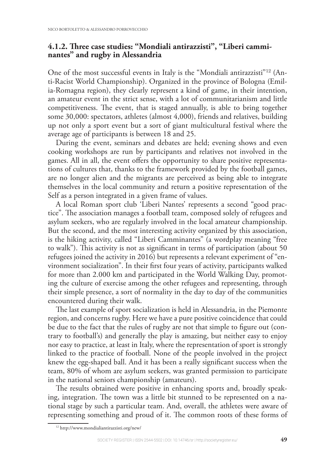#### 4.1.2. Three case studies: "Mondiali antirazzisti", "Liberi cammi**nantes" and rugby in Alessandria**

One of the most successful events in Italy is the "Mondiali antirazzisti"<sup>12</sup> (Anti-Racist World Championship). Organized in the province of Bologna (Emilia-Romagna region), they clearly represent a kind of game, in their intention, an amateur event in the strict sense, with a lot of communitarianism and little competitiveness. The event, that is staged annually, is able to bring together some 30,000: spectators, athletes (almost 4,000), friends and relatives, building up not only a sport event but a sort of giant multicultural festival where the average age of participants is between 18 and 25.

During the event, seminars and debates are held; evening shows and even cooking workshops are run by participants and relatives not involved in the games. All in all, the event offers the opportunity to share positive representations of cultures that, thanks to the framework provided by the football games, are no longer alien and the migrants are perceived as being able to integrate themselves in the local community and return a positive representation of the Self as a person integrated in a given frame of values.

A local Roman sport club 'Liberi Nantes' represents a second "good practice". The association manages a football team, composed solely of refugees and asylum seekers, who are regularly involved in the local amateur championship. But the second, and the most interesting activity organized by this association, is the hiking activity, called "Liberi Camminantes" (a wordplay meaning "free to walk"). This activity is not as significant in terms of participation (about 50 refugees joined the activity in 2016) but represents a relevant experiment of "environment socialization". In their first four years of activity, participants walked for more than 2.000 km and participated in the World Walking Day, promoting the culture of exercise among the other refugees and representing, through their simple presence, a sort of normality in the day to day of the communities encountered during their walk.

The last example of sport socialization is held in Alessandria, in the Piemonte region, and concerns rugby. Here we have a pure positive coincidence that could be due to the fact that the rules of rugby are not that simple to figure out (contrary to football's) and generally the play is amazing, but neither easy to enjoy nor easy to practice, at least in Italy, where the representation of sport is strongly linked to the practice of football. None of the people involved in the project knew the egg-shaped ball. And it has been a really significant success when the team, 80% of whom are asylum seekers, was granted permission to participate in the national seniors championship (amateurs).

The results obtained were positive in enhancing sports and, broadly speaking, integration. The town was a little bit stunned to be represented on a national stage by such a particular team. And, overall, the athletes were aware of representing something and proud of it. The common roots of these forms of

<sup>12</sup> http://www.mondialiantirazzisti.org/new/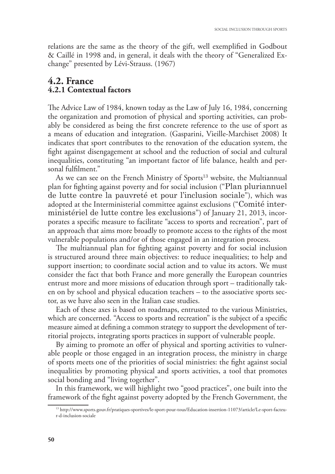relations are the same as the theory of the gift, well exemplified in Godbout & Caillé in 1998 and, in general, it deals with the theory of "Generalized Exchange" presented by Lévi-Strauss. (1967)

### **4.2. France 4.2.1 Contextual factors**

The Advice Law of 1984, known today as the Law of July 16, 1984, concerning the organization and promotion of physical and sporting activities, can probably be considered as being the first concrete reference to the use of sport as a means of education and integration. (Gasparini, Vieille-Marchiset 2008) It indicates that sport contributes to the renovation of the education system, the fight against disengagement at school and the reduction of social and cultural inequalities, constituting "an important factor of life balance, health and personal fulfilment."

As we can see on the French Ministry of Sports<sup>13</sup> website, the Multiannual plan for fighting against poverty and for social inclusion ("Plan pluriannuel de lutte contre la pauvreté et pour l'inclusion sociale"), which was adopted at the Interministerial committee against exclusions ("Comité interministériel de lutte contre les exclusions") of January 21, 2013, incorporates a specific measure to facilitate "access to sports and recreation", part of an approach that aims more broadly to promote access to the rights of the most vulnerable populations and/or of those engaged in an integration process.

The multiannual plan for fighting against poverty and for social inclusion is structured around three main objectives: to reduce inequalities; to help and support insertion; to coordinate social action and to value its actors. We must consider the fact that both France and more generally the European countries entrust more and more missions of education through sport – traditionally taken on by school and physical education teachers – to the associative sports sector, as we have also seen in the Italian case studies.

Each of these axes is based on roadmaps, entrusted to the various Ministries, which are concerned. "Access to sports and recreation" is the subject of a specific measure aimed at defining a common strategy to support the development of territorial projects, integrating sports practices in support of vulnerable people.

By aiming to promote an offer of physical and sporting activities to vulnerable people or those engaged in an integration process, the ministry in charge of sports meets one of the priorities of social ministries: the fight against social inequalities by promoting physical and sports activities, a tool that promotes social bonding and "living together".

In this framework, we will highlight two "good practices", one built into the framework of the fight against poverty adopted by the French Government, the

<sup>13</sup> http://www.sports.gouv.fr/pratiques-sportives/le-sport-pour-tous/Education-insertion-11073/article/Le-sport-facteur-d-inclusion-sociale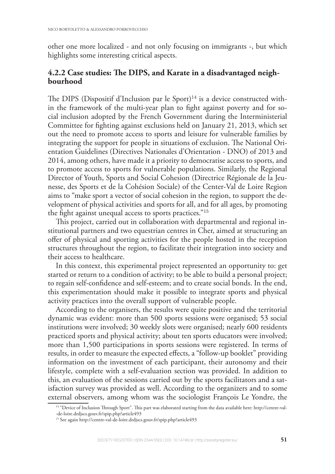other one more localized - and not only focusing on immigrants -, but which highlights some interesting critical aspects.

### 4.2.2 Case studies: The DIPS, and Karate in a disadvantaged neigh**bourhood**

The DIPS (Dispositif d'Inclusion par le Sport)<sup>14</sup> is a device constructed within the framework of the multi-year plan to fight against poverty and for social inclusion adopted by the French Government during the Interministerial Committee for fighting against exclusions held on January 21, 2013, which set out the need to promote access to sports and leisure for vulnerable families by integrating the support for people in situations of exclusion. The National Orientation Guidelines (Directives Nationales d'Orientation - DNO) of 2013 and 2014, among others, have made it a priority to democratise access to sports, and to promote access to sports for vulnerable populations. Similarly, the Regional Director of Youth, Sports and Social Cohesion (Directrice Régionale de la Jeunesse, des Sports et de la Cohésion Sociale) of the Center-Val de Loire Region aims to "make sport a vector of social cohesion in the region, to support the development of physical activities and sports for all, and for all ages, by promoting the fight against unequal access to sports practices."<sup>15</sup>

This project, carried out in collaboration with departmental and regional institutional partners and two equestrian centres in Cher, aimed at structuring an offer of physical and sporting activities for the people hosted in the reception structures throughout the region, to facilitate their integration into society and their access to healthcare.

In this context, this experimental project represented an opportunity to: get started or return to a condition of activity; to be able to build a personal project; to regain self-confidence and self-esteem; and to create social bonds. In the end, this experimentation should make it possible to integrate sports and physical activity practices into the overall support of vulnerable people.

According to the organisers, the results were quite positive and the territorial dynamic was evident: more than 500 sports sessions were organised; 53 social institutions were involved; 30 weekly slots were organised; nearly 600 residents practiced sports and physical activity; about ten sports educators were involved; more than 1,500 participations in sports sessions were registered. In terms of results, in order to measure the expected effects, a "follow-up booklet" providing information on the investment of each participant, their autonomy and their lifestyle, complete with a self-evaluation section was provided. In addition to this, an evaluation of the sessions carried out by the sports facilitators and a satisfaction survey was provided as well. According to the organizers and to some external observers, among whom was the sociologist François Le Yondre, the

<sup>14</sup> "Device of Inclusion Through Sport". This part was elaborated starting from the data available here: http://centre-val--de-loire.drdjscs.gouv.fr/spip.php?article493

<sup>15</sup> See again http://centre-val-de-loire.drdjscs.gouv.fr/spip.php?article493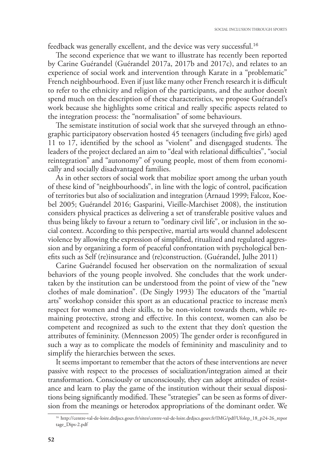feedback was generally excellent, and the device was very successful.<sup>16</sup>

The second experience that we want to illustrate has recently been reported by Carine Guérandel (Guérandel 2017a, 2017b and 2017c), and relates to an experience of social work and intervention through Karate in a "problematic" French neighbourhood. Even if just like many other French research it is difficult to refer to the ethnicity and religion of the participants, and the author doesn't spend much on the description of these characteristics, we propose Guérandel's work because she highlights some critical and really specific aspects related to the integration process: the "normalisation" of some behaviours.

The semistate institution of social work that she surveyed through an ethnographic participatory observation hosted 45 teenagers (including five girls) aged 11 to 17, identified by the school as "violent" and disengaged students. The leaders of the project declared an aim to "deal with relational difficulties", "social reintegration" and "autonomy" of young people, most of them from economically and socially disadvantaged families.

As in other sectors of social work that mobilize sport among the urban youth of these kind of "neighbourhoods", in line with the logic of control, pacification of territories but also of socialization and integration (Arnaud 1999; Falcoz, Koebel 2005; Guérandel 2016; Gasparini, Vieille-Marchiset 2008), the institution considers physical practices as delivering a set of transferable positive values and thus being likely to favour a return to "ordinary civil life", or inclusion in the social context. According to this perspective, martial arts would channel adolescent violence by allowing the expression of simplified, ritualized and regulated aggression and by organizing a form of peaceful confrontation with psychological benefits such as Self (re)insurance and (re)construction. (Guérandel, Julhe 2011)

Carine Guérandel focused her observation on the normalization of sexual behaviors of the young people involved. She concludes that the work undertaken by the institution can be understood from the point of view of the "new clothes of male domination". (De Singly 1993) The educators of the "martial arts" workshop consider this sport as an educational practice to increase men's respect for women and their skills, to be non-violent towards them, while remaining protective, strong and effective. In this context, women can also be competent and recognized as such to the extent that they don't question the attributes of femininity. (Mennesson 2005) The gender order is reconfigured in such a way as to complicate the models of femininity and masculinity and to simplify the hierarchies between the sexes.

It seems important to remember that the actors of these interventions are never passive with respect to the processes of socialization/integration aimed at their transformation. Consciously or unconsciously, they can adopt attitudes of resistance and learn to play the game of the institution without their sexual dispositions being significantly modified. These "strategies" can be seen as forms of diversion from the meanings or heterodox appropriations of the dominant order. We

<sup>16</sup> http://centre-val-de-loire.drdjscs.gouv.fr/sites/centre-val-de-loire.drdjscs.gouv.fr/IMG/pdf/Ufolep\_18\_p24-26\_repor tage\_Dips-2.pdf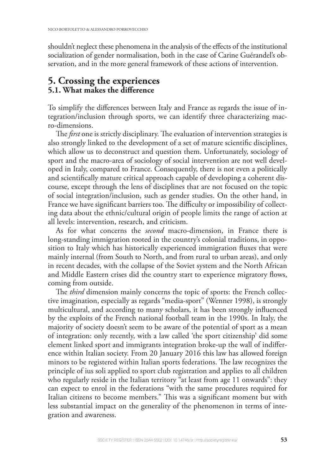shouldn't neglect these phenomena in the analysis of the effects of the institutional socialization of gender normalisation, both in the case of Carine Guérandel's observation, and in the more general framework of these actions of intervention.

# **5. Crossing the experiences 5.1. What makes the difference**

To simplify the differences between Italy and France as regards the issue of integration/inclusion through sports, we can identify three characterizing macro-dimensions.

The *first* one is strictly disciplinary. The evaluation of intervention strategies is also strongly linked to the development of a set of mature scientific disciplines, which allow us to deconstruct and question them. Unfortunately, sociology of sport and the macro-area of sociology of social intervention are not well developed in Italy, compared to France. Consequently, there is not even a politically and scientifically mature critical approach capable of developing a coherent discourse, except through the lens of disciplines that are not focused on the topic of social integration/inclusion, such as gender studies. On the other hand, in France we have significant barriers too. The difficulty or impossibility of collecting data about the ethnic/cultural origin of people limits the range of action at all levels: intervention, research, and criticism.

As for what concerns the *second* macro-dimension, in France there is long-standing immigration rooted in the country's colonial traditions, in opposition to Italy which has historically experienced immigration fluxes that were mainly internal (from South to North, and from rural to urban areas), and only in recent decades, with the collapse of the Soviet system and the North African and Middle Eastern crises did the country start to experience migratory flows, coming from outside.

The *third* dimension mainly concerns the topic of sports: the French collective imagination, especially as regards "media-sport" (Wenner 1998), is strongly multicultural, and according to many scholars, it has been strongly influenced by the exploits of the French national football team in the 1990s. In Italy, the majority of society doesn't seem to be aware of the potential of sport as a mean of integration: only recently, with a law called 'the sport citizenship' did some element linked sport and immigrants integration broke-up the wall of indifference within Italian society. From 20 January 2016 this law has allowed foreign minors to be registered within Italian sports federations. The law recognizes the principle of ius soli applied to sport club registration and applies to all children who regularly reside in the Italian territory "at least from age 11 onwards": they can expect to enrol in the federations "with the same procedures required for Italian citizens to become members." This was a significant moment but with less substantial impact on the generality of the phenomenon in terms of integration and awareness.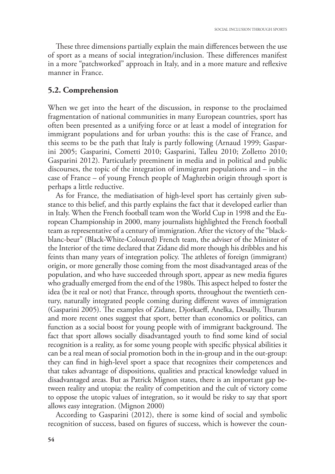These three dimensions partially explain the main differences between the use of sport as a means of social integration/inclusion. These differences manifest in a more "patchworked" approach in Italy, and in a more mature and reflexive manner in France.

#### **5.2. Comprehension**

When we get into the heart of the discussion, in response to the proclaimed fragmentation of national communities in many European countries, sport has often been presented as a unifying force or at least a model of integration for immigrant populations and for urban youths: this is the case of France, and this seems to be the path that Italy is partly following (Arnaud 1999; Gasparini 2005; Gasparini, Cometti 2010; Gasparini, Talleu 2010; Zolletto 2010; Gasparini 2012). Particularly preeminent in media and in political and public discourses, the topic of the integration of immigrant populations and – in the case of France – of young French people of Maghrebin origin through sport is perhaps a little reductive.

As for France, the mediatisation of high-level sport has certainly given substance to this belief, and this partly explains the fact that it developed earlier than in Italy. When the French football team won the World Cup in 1998 and the European Championship in 2000, many journalists highlighted the French football team as representative of a century of immigration. After the victory of the "blackblanc-beur" (Black-White-Coloured) French team, the adviser of the Minister of the Interior of the time declared that Zidane did more though his dribbles and his feints than many years of integration policy. The athletes of foreign (immigrant) origin, or more generally those coming from the most disadvantaged areas of the population, and who have succeeded through sport, appear as new media figures who gradually emerged from the end of the 1980s. This aspect helped to foster the idea (be it real or not) that France, through sports, throughout the twentieth century, naturally integrated people coming during different waves of immigration (Gasparini 2005). The examples of Zidane, Djorkaeff, Anelka, Desailly, Thuram and more recent ones suggest that sport, better than economics or politics, can function as a social boost for young people with of immigrant background. The fact that sport allows socially disadvantaged youth to find some kind of social recognition is a reality, as for some young people with specific physical abilities it can be a real mean of social promotion both in the in-group and in the out-group: they can find in high-level sport a space that recognizes their competences and that takes advantage of dispositions, qualities and practical knowledge valued in disadvantaged areas. But as Patrick Mignon states, there is an important gap between reality and utopia: the reality of competition and the cult of victory come to oppose the utopic values of integration, so it would be risky to say that sport allows easy integration. (Mignon 2000)

According to Gasparini (2012), there is some kind of social and symbolic recognition of success, based on figures of success, which is however the coun-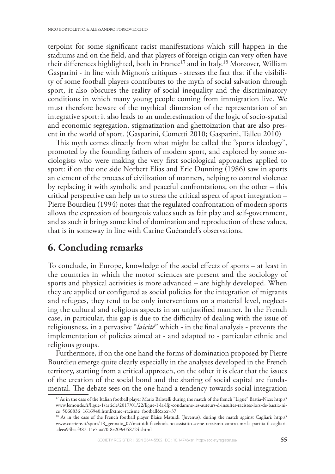terpoint for some significant racist manifestations which still happen in the stadiums and on the field, and that players of foreign origin can very often have their differences highlighted, both in France<sup>17</sup> and in Italy.<sup>18</sup> Moreover, William Gasparini - in line with Mignon's critiques - stresses the fact that if the visibility of some football players contributes to the myth of social salvation through sport, it also obscures the reality of social inequality and the discriminatory conditions in which many young people coming from immigration live. We must therefore beware of the mythical dimension of the representation of an integrative sport: it also leads to an underestimation of the logic of socio-spatial and economic segregation, stigmatization and ghettoization that are also present in the world of sport. (Gasparini, Cometti 2010; Gasparini, Talleu 2010)

This myth comes directly from what might be called the "sports ideology", promoted by the founding fathers of modern sport, and explored by some sociologists who were making the very first sociological approaches applied to sport: if on the one side Norbert Elias and Eric Dunning (1986) saw in sports an element of the process of civilization of manners, helping to control violence by replacing it with symbolic and peaceful confrontations, on the other – this critical perspective can help us to stress the critical aspect of sport integration – Pierre Bourdieu (1994) notes that the regulated confrontation of modern sports allows the expression of bourgeois values such as fair play and self-government, and as such it brings some kind of domination and reproduction of these values, that is in someway in line with Carine Guérandel's observations.

# **6. Concluding remarks**

To conclude, in Europe, knowledge of the social effects of sports  $-$  at least in the countries in which the motor sciences are present and the sociology of sports and physical activities is more advanced – are highly developed. When they are applied or configured as social policies for the integration of migrants and refugees, they tend to be only interventions on a material level, neglecting the cultural and religious aspects in an unjustified manner. In the French case, in particular, this gap is due to the difficulty of dealing with the issue of religiousness, in a pervasive "*laicité*" which - in the final analysis - prevents the implementation of policies aimed at - and adapted to - particular ethnic and religious groups.

Furthermore, if on the one hand the forms of domination proposed by Pierre Bourdieu emerge quite clearly especially in the analyses developed in the French territory, starting from a critical approach, on the other it is clear that the issues of the creation of the social bond and the sharing of social capital are fundamental. The debate sees on the one hand a tendency towards social integration

<sup>&</sup>lt;sup>17</sup> As in the case of the Italian football player Mario Balotelli during the match of the french "Ligue" Bastia-Nice: http:// www.lemonde.fr/ligue-1/article/2017/01/22/ligue-1-la-lfp-condamne-les-auteurs-d-insultes-racistes-lors-de-bastia-nice\_5066836\_1616940.html?xtmc=racisme\_football&xtcr=37

<sup>&</sup>lt;sup>18</sup> As in the case of the French football player Blaise Matuidi (Juvenus), during the match against Cagliari: http:// www.corriere.it/sport/18\_gennaio\_07/matuidi-facebook-ho-assistito-scene-razzismo-contro-me-la-partita-il-cagliari- -deea94ba-f387-11e7-aa70-8e209e058724.shtml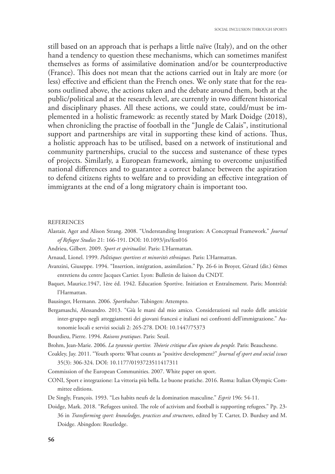still based on an approach that is perhaps a little naïve (Italy), and on the other hand a tendency to question these mechanisms, which can sometimes manifest themselves as forms of assimilative domination and/or be counterproductive (France). This does not mean that the actions carried out in Italy are more (or less) effective and efficient than the French ones. We only state that for the reasons outlined above, the actions taken and the debate around them, both at the public/political and at the research level, are currently in two different historical and disciplinary phases. All these actions, we could state, could/must be implemented in a holistic framework: as recently stated by Mark Doidge (2018), when chronicling the practise of football in the "Jungle de Calais", institutional support and partnerships are vital in supporting these kind of actions. Thus, a holistic approach has to be utilised, based on a network of institutional and community partnerships, crucial to the success and sustenance of these types of projects. Similarly, a European framework, aiming to overcome unjustified national differences and to guarantee a correct balance between the aspiration to defend citizens rights to welfare and to providing an effective integration of immigrants at the end of a long migratory chain is important too.

#### REFERENCES

- Alastair, Ager and Alison Strang. 2008. "Understanding Integration: A Conceptual Framework." *Journal of Refugee Studies* 21: 166-191. DOI: 10.1093/jrs/fen016
- Andrieu, Gilbert. 2009. *Sport et spiritualité*. Paris: L'Harmattan.
- Arnaud, Lionel. 1999. *Politiques sportives et minorités ethniques.* Paris: L'Harmattan.
- Avanzini, Giuseppe. 1994. "Insertion, intégration, assimilation." Pp. 26-6 in Broyer, Gérard (dir.) 6èmes entretiens du centre Jacques Cartier. Lyon: Bulletin de liaison du CNDT.
- Baquet, Maurice.1947, 1ère éd. 1942. Education Sportive. Initiation et Entraînement. Paris; Montréal: l'Harmattan.
- Bausinger, Hermann. 2006. *Sportkultur*. Tubingen: Attempto.
- Bergamaschi, Alessandro. 2013. "Giù le mani dal mio amico. Considerazioni sul ruolo delle amicizie inter-gruppo negli atteggiamenti dei giovani francesi e italiani nei confronti dell'immigrazione." Autonomie locali e servizi sociali 2: 265-278. DOI: 10.1447/75373
- Bourdieu, Pierre. 1994. *Raisons pratiques*. Paris: Seuil.
- Brohm, Jean-Marie. 2006. *La tyrannie sportive. Théorie critique d'un opium du peuple*. Paris: Beauchesne.
- Coakley, Jay. 2011. "Youth sports: What counts as "positive development?" *Journal of sport and social issues*  35(3): 306-324. DOI: 10.1177/0193723511417311
- Commission of the European Communities. 2007. White paper on sport.
- CONI, Sport e integrazione: La vittoria più bella. Le buone pratiche. 2016. Roma: Italian Olympic Committee editions.
- De Singly, François. 1993. "Les habits neufs de la domination masculine." *Esprit* 196: 54-11.
- Doidge, Mark. 2018. "Refugees united. The role of activism and football is supporting refugees." Pp. 23-36 in *Transforming sport: knowledges, practices and structures*, edited by T. Carter, D. Burdsey and M. Doidge. Abingdon: Routledge.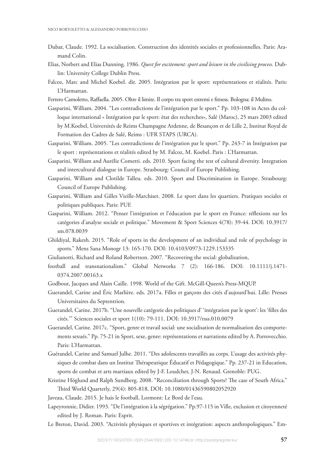- Dubar, Claude. 1992. La socialisation. Construction des identités sociales et professionnelles. Paris: Aramand Colin.
- Elias, Norbert and Elias Dunning. 1986. *Quest for excitement: sport and leisure in the civilising process.* Dublin: University College Dublin Press.
- Falcoz, Marc and Michel Koebel. dir. 2005. Intégration par le sport: représentations et réalités. Paris: L'Harmattan.
- Ferrero Camoletto, Raffaella. 2005. Oltre il limite. Il corpo tra sport estremi e fitness. Bologna: il Mulino.
- Gasparini, William. 2004. "Les contradictions de l'intégration par le sport." Pp. 103-108 in Actes du colloque international « Intégration par le sport: état des recherches», Salé (Maroc), 25 mars 2003 edited by M.Koebel, Universités de Reims Champagne Ardenne, de Besançon et de Lille 2, Institut Royal de Formation des Cadres de Salé, Reims : UFR STAPS (URCA).
- Gasparini, William. 2005. "Les contradictions de l'intégration par le sport." Pp. 243-7 in Intégration par le sport : représentations et réalités edited by M. Falcoz, M. Koebel. Paris : L'Harmattan.
- Gasparini, William and Aurélie Cometti. eds. 2010. Sport facing the test of cultural diversity. Integration and intercultural dialogue in Europe. Strasbourg: Council of Europe Publishing.
- Gasparini, William and Clotilde Talleu. eds. 2010. Sport and Discrimination in Europe. Strasbourg: Council of Europe Publishing.
- Gasparini, William and Gilles Vieille-Marchiset. 2008. Le sport dans les quartiers. Pratiques sociales et politiques publiques. Paris: PUF.
- Gasparini, William. 2012. "Penser l'intégration et l'éducation par le sport en France: réflexions sur les catégories d'analyse sociale et politique." Movement & Sport Sciences 4(78): 39-44. DOI: 10.3917/ sm.078.0039
- Ghildiyal, Rakesh. 2015. "Role of sports in the development of an individual and role of psychology in sports." Mens Sana Monogr 13: 165-170. DOI: 10.4103/0973-1229.153335
- Giulianotti, Richard and Roland Robertson. 2007. "Recovering the social: globalization,
- football and transnationalism." Global Networks 7 (2): 166-186. DOI: 10.1111/j.1471- 0374.2007.00163.x
- Godbout, Jacques and Alain Caille. 1998. World of the Gift. McGill-Queen's Press-MQUP.
- Guerandel, Carine and Éric Marlière. eds. 2017a. Filles et garçons des cités d'aujourd'hui. Lille: Presses Universitaires du Septentrion.
- Guerandel, Carine. 2017b. "Une nouvelle catégorie des politiques d' 'intégration par le sport': les 'filles des cités.'" Sciences sociales et sport 1(10): 79-111. DOI: 10.3917/rsss.010.0079
- Guerandel, Carine. 2017c. "Sport, genre et travail social: une socialisation de normalisation des comportements sexués." Pp. 75-21 in Sport, sexe, genre: représentations et narrations edited by A. Porrovecchio. Paris: L'Harmattan.
- Guérandel, Carine and Samuel Julhe. 2011. "Des adolescents travaillés au corps. L'usage des activités physiques de combat dans un Institut Thérapeutique Éducatif et Pédagogique." Pp. 237-21 in Education, sports de combat et arts martiaux edited by J-F. Loudcher, J-N. Renaud. Grenoble: PUG.
- Kristine Höglund and Ralph Sundberg. 2008. "Reconciliation through Sports? The case of South Africa." Third World Quarterly, 29(4): 805-818, DOI: 10.1080/01436590802052920
- Javeau, Claude. 2015. Je hais le football, Lormont: Le Bord de l'eau.
- Lapeyronnie, Didier. 1993. "De l'intégration à la ségrégation." Pp.97-115 in Ville, exclusion et citoyenneté edited by J. Roman. Paris: Esprit.
- Le Breton, David. 2003. "Activités physiques et sportives et intégration: aspects anthropologiques." Em-